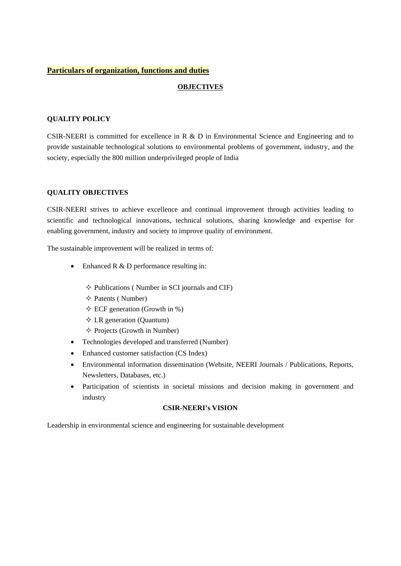### **Particulars of organization, functions and duties**

## **OBJECTIVES**

### **QUALITY POLICY**

CSIR-NEERI is committed for excellence in R & D in Environmental Science and Engineering and to provide sustainable technological solutions to environmental problems of government, industry, and the society, especially the 800 million underprivileged people of India

## **QUALITY OBJECTIVES**

 CSIR-NEERI strives to achieve excellence and continual improvement through activities leading to scientific and technological innovations, technical solutions, sharing knowledge and expertise for enabling government, industry and society to improve quality of environment.

The sustainable improvement will be realized in terms of:

- Enhanced R & D performance resulting in:
	- $\diamond$  Publications ( Number in SCI journals and CIF)
	- $\Diamond$  Patents ( Number)
	- $\Diamond$  ECF generation (Growth in %)
	- $\Diamond$  LR generation (Quantum)
	- $\Diamond$  Projects (Growth in Number)
- Technologies developed and transferred (Number)
- Enhanced customer satisfaction (CS Index)
- Newsletters, Databases, etc.) Environmental information dissemination (Website, NEERI Journals / Publications, Reports,
- Participation of scientists in societal missions and decision making in government and industry

### **CSIR-NEERI's VISION**

Leadership in environmental science and engineering for sustainable development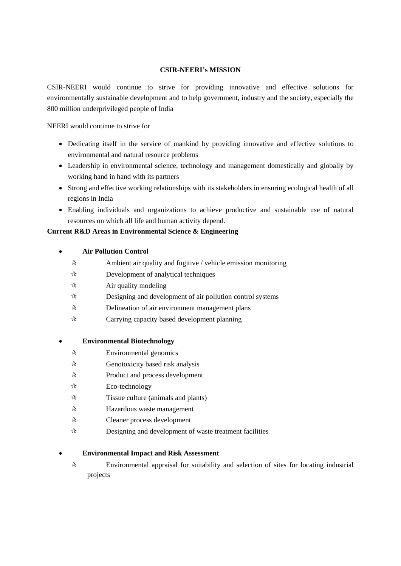## **CSIR-NEERI's MISSION**

CSIR-NEERI would continue to strive for providing innovative and effective solutions for environmentally sustainable development and to help government, industry and the society, especially the 800 million underprivileged people of India

NEERI would continue to strive for

- Dedicating itself in the service of mankind by providing innovative and effective solutions to environmental and natural resource problems
- working hand in hand with its partners Leadership in environmental science, technology and management domestically and globally by
- Strong and effective working relationships with its stakeholders in ensuring ecological health of all regions in India
- resources on which all life and human activity depend. Enabling individuals and organizations to achieve productive and sustainable use of natural

# **Current R&D Areas in Environmental Science & Engineering**

## **Air Pollution Control**

- $\mathbf{\hat{x}}$  Ambient air quality and fugitive / vehicle emission monitoring
- $\mathcal{R}$  Development of analytical techniques
- $\forall$  Air quality modeling
- $\hat{x}$  Designing and development of air pollution control systems
- $\mathcal{R}$  Delineation of air environment management plans
- $\mathbf{\hat{x}}$  Carrying capacity based development planning

# **Environmental Biotechnology**

- $\forall$  Environmental genomics
- $\mathcal{R}$  Genotoxicity based risk analysis
- $\mathcal{R}$  Product and process development
- $\mathcal{R}$  Eco-technology
- $\mathcal{R}$  Tissue culture (animals and plants)
- $\mathcal{A}$  Hazardous waste management
- Cleaner process development
- $\mathcal{R}$  Designing and development of waste treatment facilities

# **Environmental Impact and Risk Assessment**

 $\forall$  Environmental appraisal for suitability and selection of sites for locating industrial projects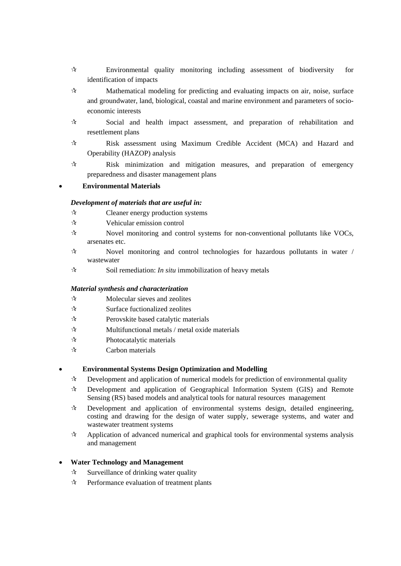- Environmental quality monitoring including assessment of biodiversity for identification of impacts
- $\star$  Mathematical modeling for predicting and evaluating impacts on air, noise, surface and groundwater, land, biological, coastal and marine environment and parameters of socioeconomic interests
- $\mathcal{R}$  Social and health impact assessment, and preparation of rehabilitation and resettlement plans
- Risk assessment using Maximum Credible Accident (MCA) and Hazard and Operability (HAZOP) analysis
- $\mathcal{R}$  Risk minimization and mitigation measures, and preparation of emergency preparedness and disaster management plans

## **Environmental Materials**

### *Development of materials that are useful in:*

- $\mathcal{R}$  Cleaner energy production systems
- Vehicular emission control
- $\forall$  Novel monitoring and control systems for non-conventional pollutants like VOCs, arsenates etc.
- $\mathcal{R}$  Novel monitoring and control technologies for hazardous pollutants in water / wastewater
- $\mathcal{R}$  Soil remediation: *In situ* immobilization of heavy metals

### *Material synthesis and characterization*

- $\mathbf{\hat{x}}$  Molecular sieves and zeolites
- $\mathbf{\hat{x}}$  Surface fuctionalized zeolites
- $\mathbf{\hat{x}}$  Perovskite based catalytic materials
- $\mathbf{\hat{x}}$  Multifunctional metals / metal oxide materials
- $\mathbf{\hat{x}}$  Photocatalytic materials
- $\mathcal{R}$  Carbon materials

### **Environmental Systems Design Optimization and Modelling**

- $\mathcal{R}$  Development and application of numerical models for prediction of environmental quality
- Development and application of Geographical Information System (GIS) and Remote Sensing (RS) based models and analytical tools for natural resources management
- costing and drawing for the design of water supply, sewerage systems, and water and  $\mathcal{R}$  Development and application of environmental systems design, detailed engineering, wastewater treatment systems
- $\mathcal{A}$  Application of advanced numerical and graphical tools for environmental systems analysis and management

### **Water Technology and Management**

- $\mathbf{\hat{x}}$  Surveillance of drinking water quality
- $\mathcal{R}$  Performance evaluation of treatment plants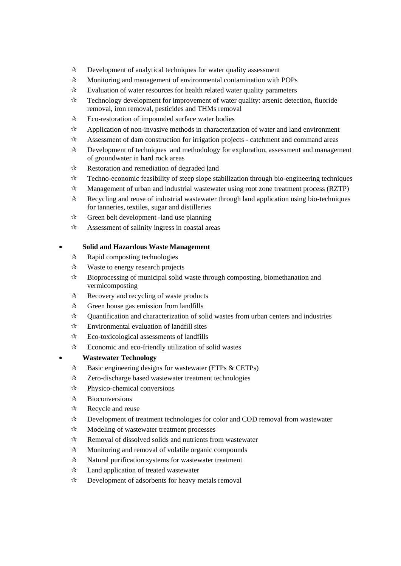- $\mathbf{\hat{x}}$  Development of analytical techniques for water quality assessment
- $\mathcal{A}$  Monitoring and management of environmental contamination with POPs
- $\mathbf{\hat{x}}$  Evaluation of water resources for health related water quality parameters
- $\hat{\mathcal{A}}$  Technology development for improvement of water quality: arsenic detection, fluoride removal, iron removal, pesticides and THMs removal
- $\mathcal{R}$  Eco-restoration of impounded surface water bodies
- $\mathcal{A}$  Application of non-invasive methods in characterization of water and land environment
- $\mathcal{A}$  Assessment of dam construction for irrigation projects catchment and command areas
- $\star$  Development of techniques and methodology for exploration, assessment and management of groundwater in hard rock areas of groundwater in hard rock areas
- $\mathcal{R}$  Restoration and remediation of degraded land
- $\mathbf{\hat{x}}$  Techno-economic feasibility of steep slope stabilization through bio-engineering techniques
- $\mathcal{A}$  Management of urban and industrial wastewater using root zone treatment process (RZTP)
- for tanneries, textiles, sugar and distilleries  $\mathbf{\hat{x}}$  Recycling and reuse of industrial wastewater through land application using bio-techniques
- $\mathcal{A}$  Green belt development -land use planning
- $\mathcal{A}$  Assessment of salinity ingress in coastal areas

## **Solid and Hazardous Waste Management**

- $\mathcal{R}$  Rapid composting technologies
- $\forall$  Waste to energy research projects
- vermicomposting  $\mathcal{R}$  Bioprocessing of municipal solid waste through composting, biomethanation and
- $\mathcal{R}$  Recovery and recycling of waste products
- $\mathcal{A}$  Green house gas emission from landfills
- $\mathcal{A}$  Quantification and characterization of solid wastes from urban centers and industries
- $\mathbf{\hat{x}}$  Environmental evaluation of landfill sites
- $\mathcal{R}$  Eco-toxicological assessments of landfills
- $\mathcal{R}$  Economic and eco-friendly utilization of solid wastes

# **Wastewater Technology**

- $\hat{\mathcal{A}}$  Basic engineering designs for wastewater (ETPs & CETPs)
- $\mathcal{R}$  Zero-discharge based wastewater treatment technologies
- $\forall$  Physico-chemical conversions
- $\mathcal{R}$  Bioconversions
- $\mathcal{R}$  Recycle and reuse
- $\mathcal{R}$  Development of treatment technologies for color and COD removal from wastewater
- $\mathcal{A}$  Modeling of wastewater treatment processes
- $\mathcal{R}$  Removal of dissolved solids and nutrients from wastewater
- $\mathbf{\hat{x}}$  Monitoring and removal of volatile organic compounds
- $\mathcal{R}$  Natural purification systems for wastewater treatment
- $\mathcal{A}$  Land application of treated wastewater
- $\mathcal{R}$  Development of adsorbents for heavy metals removal